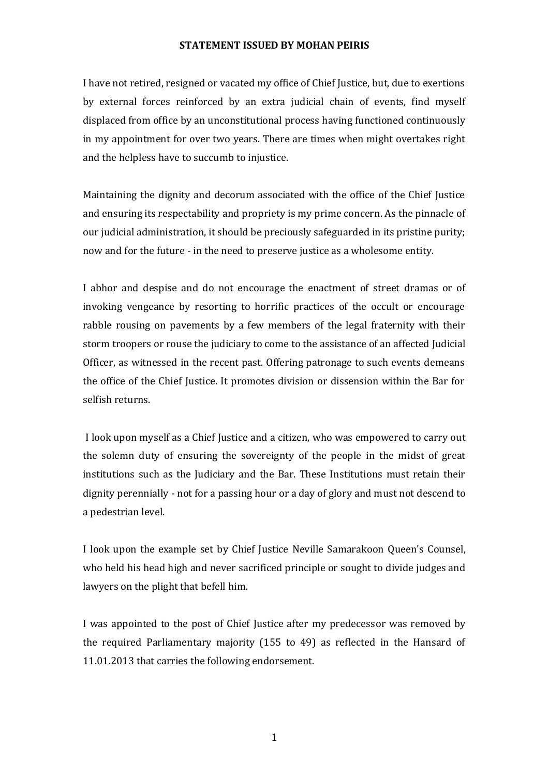## **STATEMENT ISSUED BY MOHAN PEIRIS**

I have not retired, resigned or vacated my office of Chief Justice, but, due to exertions by external forces reinforced by an extra judicial chain of events, find myself displaced from office by an unconstitutional process having functioned continuously in my appointment for over two years. There are times when might overtakes right and the helpless have to succumb to injustice.

Maintaining the dignity and decorum associated with the office of the Chief Justice and ensuring its respectability and propriety is my prime concern. As the pinnacle of our judicial administration, it should be preciously safeguarded in its pristine purity; now and for the future - in the need to preserve justice as a wholesome entity.

I abhor and despise and do not encourage the enactment of street dramas or of invoking vengeance by resorting to horrific practices of the occult or encourage rabble rousing on pavements by a few members of the legal fraternity with their storm troopers or rouse the judiciary to come to the assistance of an affected Judicial Officer, as witnessed in the recent past. Offering patronage to such events demeans the office of the Chief Justice. It promotes division or dissension within the Bar for selfish returns.

I look upon myself as a Chief Justice and a citizen, who was empowered to carry out the solemn duty of ensuring the sovereignty of the people in the midst of great institutions such as the Judiciary and the Bar. These Institutions must retain their dignity perennially - not for a passing hour or a day of glory and must not descend to a pedestrian level.

I look upon the example set by Chief Justice Neville Samarakoon Queen's Counsel, who held his head high and never sacrificed principle or sought to divide judges and lawyers on the plight that befell him.

I was appointed to the post of Chief Justice after my predecessor was removed by the required Parliamentary majority (155 to 49) as reflected in the Hansard of 11.01.2013 that carries the following endorsement.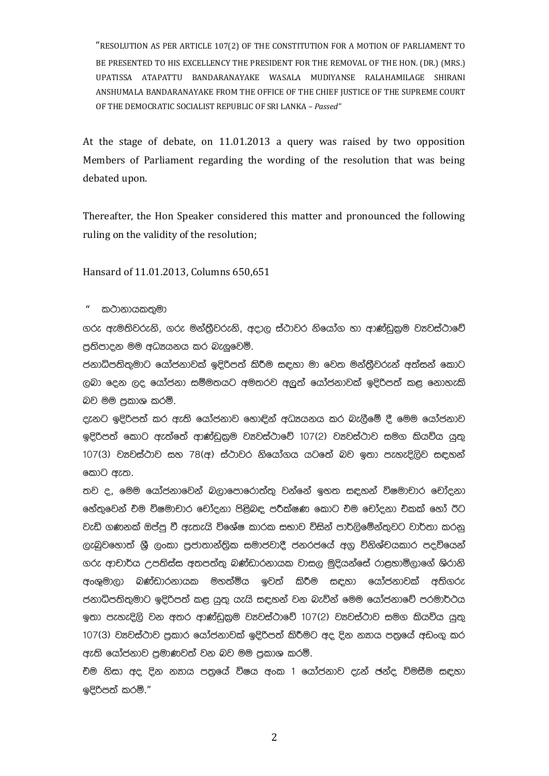"RESOLUTION AS PER ARTICLE 107(2) OF THE CONSTITUTION FOR A MOTION OF PARLIAMENT TO BE PRESENTED TO HIS EXCELLENCY THE PRESIDENT FOR THE REMOVAL OF THE HON. (DR.) (MRS.) UPATISSA ATAPATTU BANDARANAYAKE WASALA MUDIYANSE RALAHAMILAGE SHIRANI ANSHUMALA BANDARANAYAKE FROM THE OFFICE OF THE CHIEF JUSTICE OF THE SUPREME COURT OF THE DEMOCRATIC SOCIALIST REPUBLIC OF SRI LANKA – *Passed"*

At the stage of debate, on 11.01.2013 a query was raised by two opposition Members of Parliament regarding the wording of the resolution that was being debated upon.

Thereafter, the Hon Speaker considered this matter and pronounced the following ruling on the validity of the resolution;

Hansard of 11.01.2013, Columns 650,651

කථානායකතමා

.<br>ගරු ඇමතිවරුනි. ගරු මන්තීවරුනි. අදාල ස්ථාවර නියෝග හා ආණ්ඩකම වාූවස්ථාවේ පුතිපාදන මම අධෘයනය කර බැලුවෙමි.

ජනාධිපතිතුමාට යෝජනාවක් ඉදිරිපත් කිරීම සඳහා මා වෙත මන්තීවරුන් අත්සන් කොට ලබා දෙන ලද යෝජනා සම්මතයට අමතරව අලුත් යෝජනාවක් ඉදිරිපත් කළ නොහැකි බව මම පකාශ කරමි.

දැනට ඉදිරිපත් කර ඇති යෝජනාව හොඳින් අධායනය කර බැලීමේ දී මෙම යෝජනාව ඉදිරිපත් කොට ඇත්තේ ආණ්ඩුකුම ව¤වස්ථාවේ 107(2) ව¤වස්ථාව සමග කියවිය යුතු 107(3) වානවස්ථාව සහ 78(අ) ස්ථාවර නියෝගය යටතේ බව ඉතා පැහැදිලිව සඳහන් කොට ඇත.

තව ද, මෙම යෝජනාවෙන් බලාපොරොත්තු වන්නේ ඉහත සඳහන් විෂමාචාර චෝදනා හේතුවෙන් චම විෂමාචාර චෝදනා පිළිබඳ පරීක්ෂණ කොට චම චෝදනා චකක් හෝ ඊට වැඩි ගණනක් ඔප්පු වී ඇතැයි විශේෂ කාරක සභාව විසින් පාර්ලිමේන්තුවට වාර්තා කරනු ලැබුවහොත් ශී ලංකා පුජාතාන්තික සමාජවාදී ජනරජයේ අගු විනිශ්චයකාර පදවියෙන් .<br>ගරු ආචාර්ය උපතිස්ස අතපත්තු බණ්ඩාරනායක වාසල මුදියන්සේ රාළහාමිලාගේ ශිරානි අංශුමාලා බණ්ඩාරනායක මහත්මිය ඉවත් කිරීම සඳහා යෝජනාවක් අතිගරු ජනාධිපතිතුමාට ඉදිරිපත් කළ යුතු යැයි සඳහන් වන බැවින් මෙම යෝජනාවේ පරමාර්ථය ඉතා පැහැදිලි වන අතර ආණ්ඩුකුම වෘවස්ථාවේ 107(2) වෘවස්ථාව සමග කියවිය යුතු 107(3) වාවෙස්ථාව පුකාර යෝජනාවක් ඉදිරිපත් කිරීමට අද දින නතය පතුයේ අඩංගු කර ඇති යෝජනාව පුමාණවත් වන බව මම පුකාශ කරමි.

<u>චිම නිසා අද දින නතය පතුයේ විෂය අංක 1 යෝජනාව දැන් ඡන්ද විමසීම සඳහා</u> ඉදිරිපත් කරමි."

2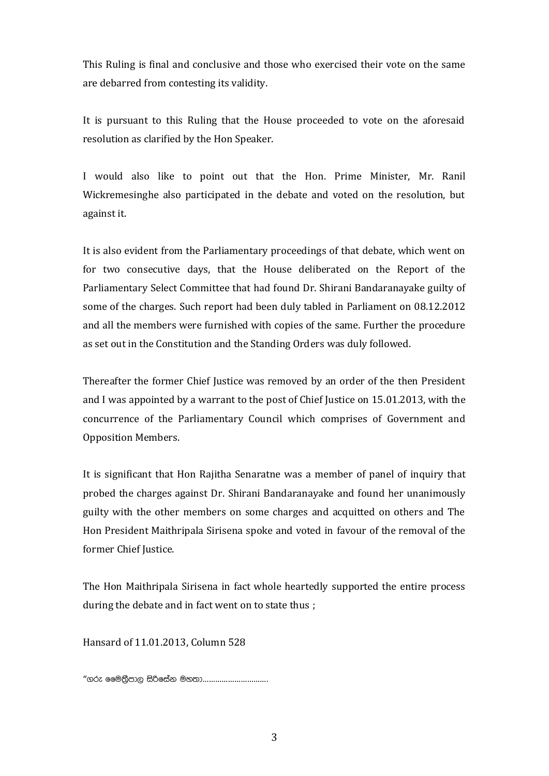This Ruling is final and conclusive and those who exercised their vote on the same are debarred from contesting its validity.

It is pursuant to this Ruling that the House proceeded to vote on the aforesaid resolution as clarified by the Hon Speaker.

I would also like to point out that the Hon. Prime Minister, Mr. Ranil Wickremesinghe also participated in the debate and voted on the resolution, but against it.

It is also evident from the Parliamentary proceedings of that debate, which went on for two consecutive days, that the House deliberated on the Report of the Parliamentary Select Committee that had found Dr. Shirani Bandaranayake guilty of some of the charges. Such report had been duly tabled in Parliament on 08.12.2012 and all the members were furnished with copies of the same. Further the procedure as set out in the Constitution and the Standing Orders was duly followed.

Thereafter the former Chief Justice was removed by an order of the then President and I was appointed by a warrant to the post of Chief Justice on 15.01.2013, with the concurrence of the Parliamentary Council which comprises of Government and Opposition Members.

It is significant that Hon Rajitha Senaratne was a member of panel of inquiry that probed the charges against Dr. Shirani Bandaranayake and found her unanimously guilty with the other members on some charges and acquitted on others and The Hon President Maithripala Sirisena spoke and voted in favour of the removal of the former Chief Justice.

The Hon Maithripala Sirisena in fact whole heartedly supported the entire process during the debate and in fact went on to state thus ;

Hansard of 11.01.2013, Column 528

".re ffu;%Smd, isßfi ak uy;d………………………….